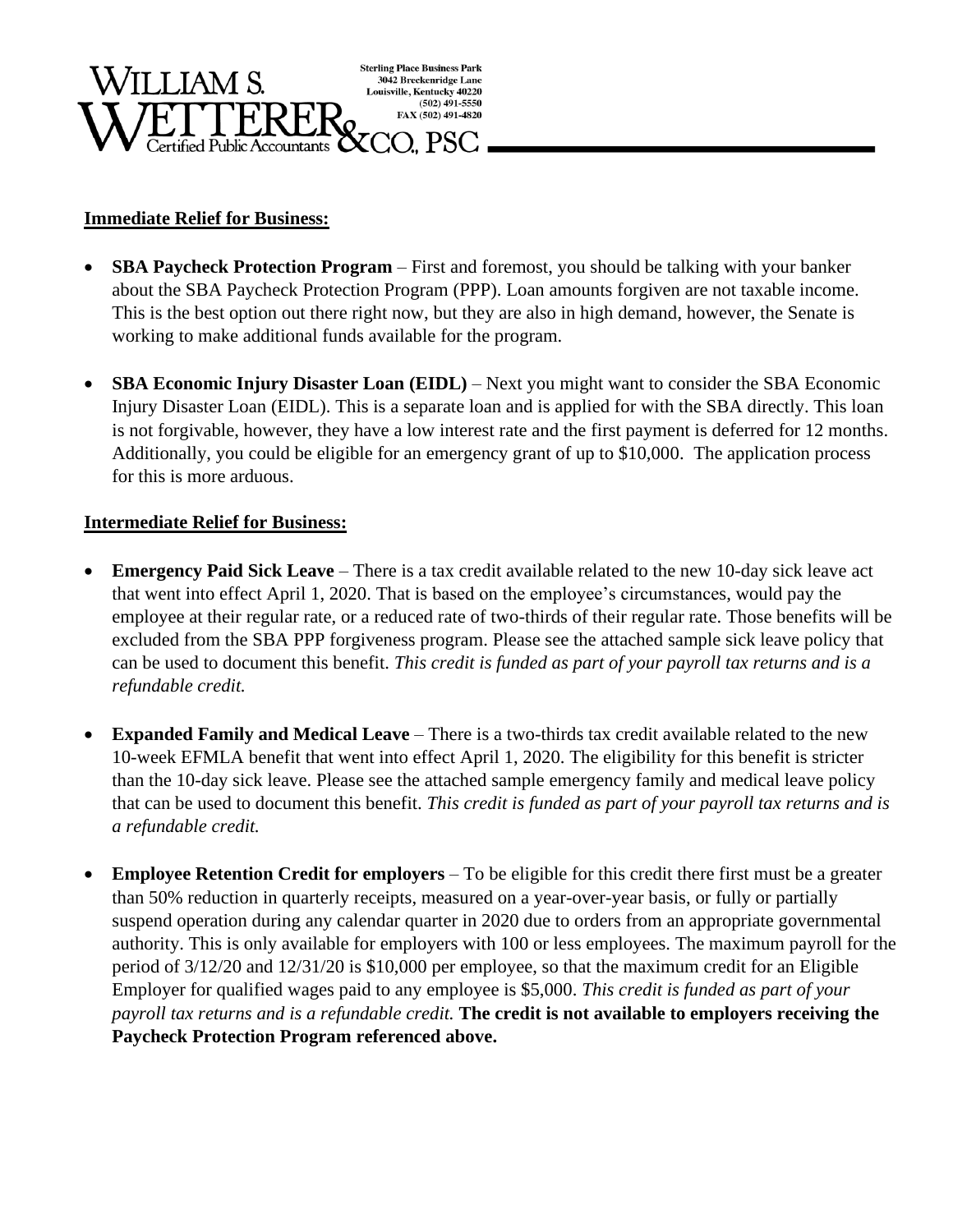

## **Immediate Relief for Business:**

- **SBA Paycheck Protection Program** First and foremost, you should be talking with your banker about the SBA Paycheck Protection Program (PPP). Loan amounts forgiven are not taxable income. This is the best option out there right now, but they are also in high demand, however, the Senate is working to make additional funds available for the program.
- **SBA Economic Injury Disaster Loan (EIDL)** Next you might want to consider the SBA Economic Injury Disaster Loan (EIDL). This is a separate loan and is applied for with the SBA directly. This loan is not forgivable, however, they have a low interest rate and the first payment is deferred for 12 months. Additionally, you could be eligible for an emergency grant of up to \$10,000. The application process for this is more arduous.

## **Intermediate Relief for Business:**

- **Emergency Paid Sick Leave** There is a tax credit available related to the new 10-day sick leave act that went into effect April 1, 2020. That is based on the employee's circumstances, would pay the employee at their regular rate, or a reduced rate of two-thirds of their regular rate. Those benefits will be excluded from the SBA PPP forgiveness program. Please see the attached sample sick leave policy that can be used to document this benefit. *This credit is funded as part of your payroll tax returns and is a refundable credit.*
- **Expanded Family and Medical Leave** There is a two-thirds tax credit available related to the new 10-week EFMLA benefit that went into effect April 1, 2020. The eligibility for this benefit is stricter than the 10-day sick leave. Please see the attached sample emergency family and medical leave policy that can be used to document this benefit. *This credit is funded as part of your payroll tax returns and is a refundable credit.*
- **Employee Retention Credit for employers** To be eligible for this credit there first must be a greater than 50% reduction in quarterly receipts, measured on a year-over-year basis, or fully or partially suspend operation during any calendar quarter in 2020 due to orders from an appropriate governmental authority. This is only available for employers with 100 or less employees. The maximum payroll for the period of 3/12/20 and 12/31/20 is \$10,000 per employee, so that the maximum credit for an Eligible Employer for qualified wages paid to any employee is \$5,000. *This credit is funded as part of your payroll tax returns and is a refundable credit.* **The credit is not available to employers receiving the Paycheck Protection Program referenced above.**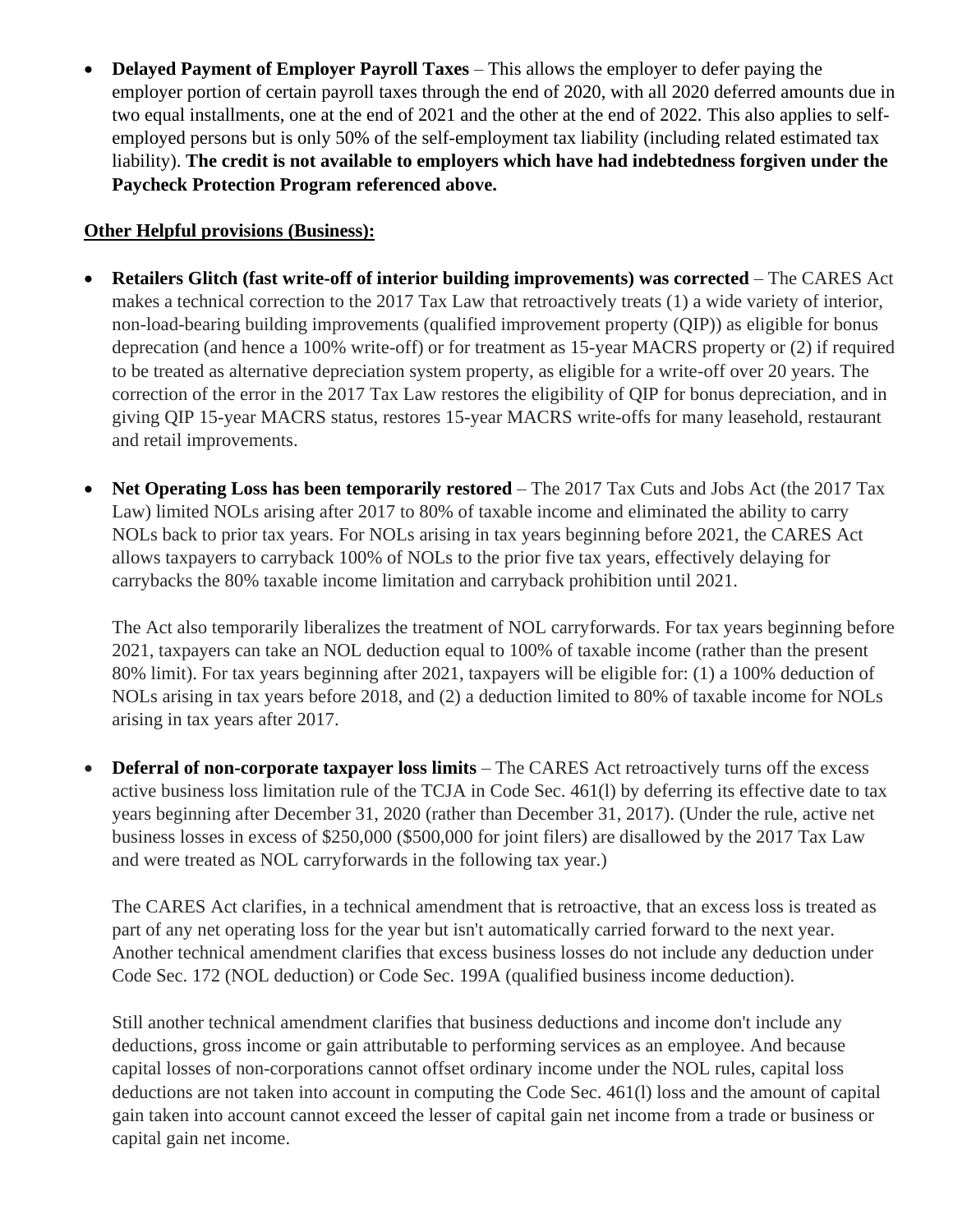• **Delayed Payment of Employer Payroll Taxes** – This allows the employer to defer paying the employer portion of certain payroll taxes through the end of 2020, with all 2020 deferred amounts due in two equal installments, one at the end of 2021 and the other at the end of 2022. This also applies to selfemployed persons but is only 50% of the self-employment tax liability (including related estimated tax liability). **The credit is not available to employers which have had indebtedness forgiven under the Paycheck Protection Program referenced above.**

## **Other Helpful provisions (Business):**

- **Retailers Glitch (fast write-off of interior building improvements) was corrected** The CARES Act makes a technical correction to the 2017 Tax Law that retroactively treats (1) a wide variety of interior, non-load-bearing building improvements (qualified improvement property (QIP)) as eligible for bonus deprecation (and hence a 100% write-off) or for treatment as 15-year MACRS property or (2) if required to be treated as alternative depreciation system property, as eligible for a write-off over 20 years. The correction of the error in the 2017 Tax Law restores the eligibility of QIP for bonus depreciation, and in giving QIP 15-year MACRS status, restores 15-year MACRS write-offs for many leasehold, restaurant and retail improvements.
- **Net Operating Loss has been temporarily restored** The 2017 Tax Cuts and Jobs Act (the 2017 Tax Law) limited NOLs arising after 2017 to 80% of taxable income and eliminated the ability to carry NOLs back to prior tax years. For NOLs arising in tax years beginning before 2021, the CARES Act allows taxpayers to carryback 100% of NOLs to the prior five tax years, effectively delaying for carrybacks the 80% taxable income limitation and carryback prohibition until 2021.

The Act also temporarily liberalizes the treatment of NOL carryforwards. For tax years beginning before 2021, taxpayers can take an NOL deduction equal to 100% of taxable income (rather than the present 80% limit). For tax years beginning after 2021, taxpayers will be eligible for: (1) a 100% deduction of NOLs arising in tax years before 2018, and (2) a deduction limited to 80% of taxable income for NOLs arising in tax years after 2017.

• **Deferral of non-corporate taxpayer loss limits** – The CARES Act retroactively turns off the excess active business loss limitation rule of the TCJA in Code Sec. 461(l) by deferring its effective date to tax years beginning after December 31, 2020 (rather than December 31, 2017). (Under the rule, active net business losses in excess of \$250,000 (\$500,000 for joint filers) are disallowed by the 2017 Tax Law and were treated as NOL carryforwards in the following tax year.)

The CARES Act clarifies, in a technical amendment that is retroactive, that an excess loss is treated as part of any net operating loss for the year but isn't automatically carried forward to the next year. Another technical amendment clarifies that excess business losses do not include any deduction under Code Sec. 172 (NOL deduction) or Code Sec. 199A (qualified business income deduction).

Still another technical amendment clarifies that business deductions and income don't include any deductions, gross income or gain attributable to performing services as an employee. And because capital losses of non-corporations cannot offset ordinary income under the NOL rules, capital loss deductions are not taken into account in computing the Code Sec. 461(l) loss and the amount of capital gain taken into account cannot exceed the lesser of capital gain net income from a trade or business or capital gain net income.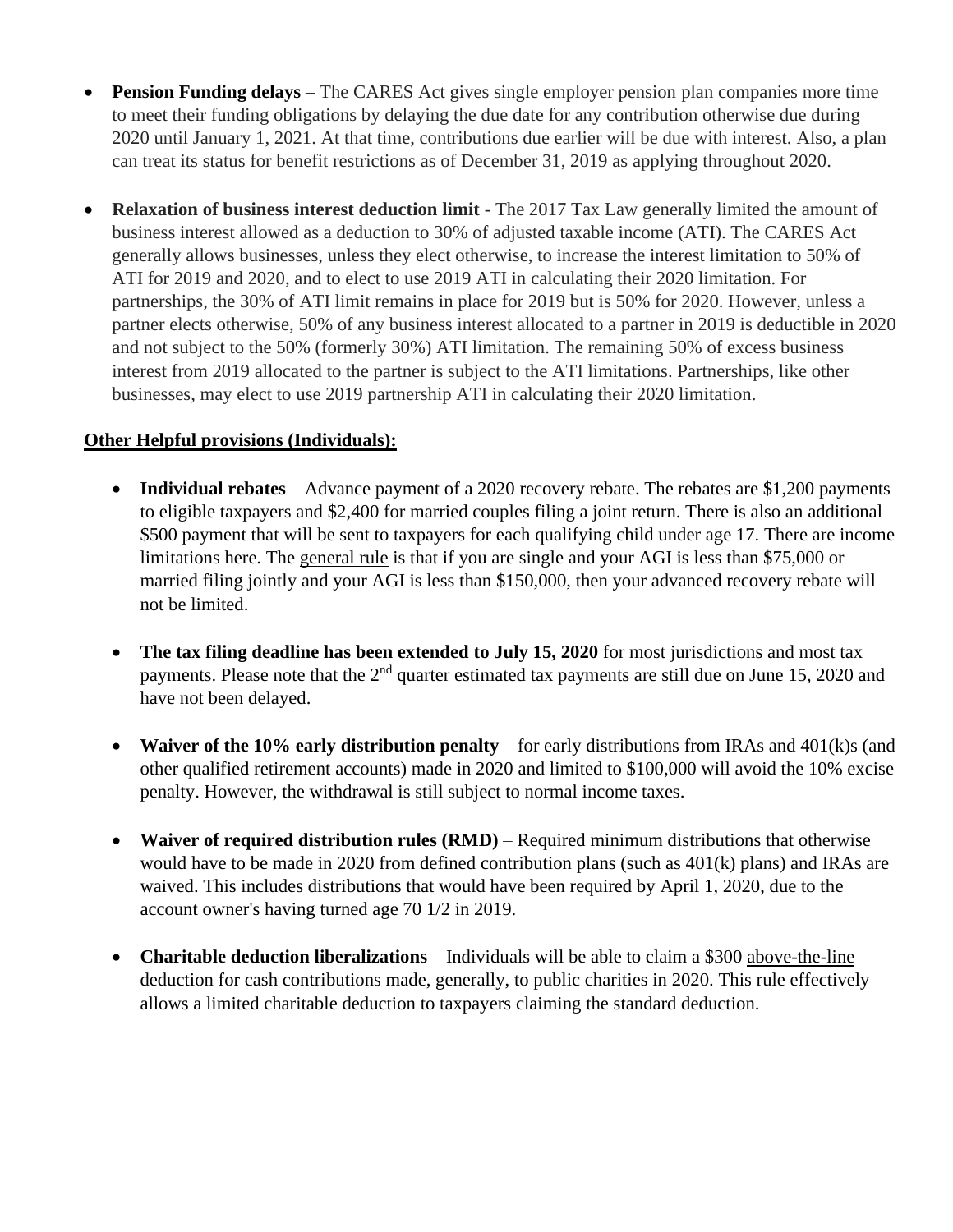- **Pension Funding delays** The CARES Act gives single employer pension plan companies more time to meet their funding obligations by delaying the due date for any contribution otherwise due during 2020 until January 1, 2021. At that time, contributions due earlier will be due with interest. Also, a plan can treat its status for benefit restrictions as of December 31, 2019 as applying throughout 2020.
- **Relaxation of business interest deduction limit** *-* The 2017 Tax Law generally limited the amount of business interest allowed as a deduction to 30% of adjusted taxable income (ATI). The CARES Act generally allows businesses, unless they elect otherwise, to increase the interest limitation to 50% of ATI for 2019 and 2020, and to elect to use 2019 ATI in calculating their 2020 limitation. For partnerships, the 30% of ATI limit remains in place for 2019 but is 50% for 2020. However, unless a partner elects otherwise, 50% of any business interest allocated to a partner in 2019 is deductible in 2020 and not subject to the 50% (formerly 30%) ATI limitation. The remaining 50% of excess business interest from 2019 allocated to the partner is subject to the ATI limitations. Partnerships, like other businesses, may elect to use 2019 partnership ATI in calculating their 2020 limitation.

## **Other Helpful provisions (Individuals):**

- **Individual rebates** Advance payment of a 2020 recovery rebate. The rebates are \$1,200 payments to eligible taxpayers and \$2,400 for married couples filing a joint return. There is also an additional \$500 payment that will be sent to taxpayers for each qualifying child under age 17. There are income limitations here. The general rule is that if you are single and your AGI is less than \$75,000 or married filing jointly and your AGI is less than \$150,000, then your advanced recovery rebate will not be limited.
- **The tax filing deadline has been extended to July 15, 2020** for most jurisdictions and most tax payments. Please note that the  $2<sup>nd</sup>$  quarter estimated tax payments are still due on June 15, 2020 and have not been delayed.
- **Waiver of the 10% early distribution penalty** for early distributions from IRAs and 401(k)s (and other qualified retirement accounts) made in 2020 and limited to \$100,000 will avoid the 10% excise penalty. However, the withdrawal is still subject to normal income taxes.
- **Waiver of required distribution rules (RMD)** Required minimum distributions that otherwise would have to be made in 2020 from defined contribution plans (such as 401(k) plans) and IRAs are waived. This includes distributions that would have been required by April 1, 2020, due to the account owner's having turned age 70 1/2 in 2019.
- **Charitable deduction liberalizations** Individuals will be able to claim a \$300 above-the-line deduction for cash contributions made, generally, to public charities in 2020. This rule effectively allows a limited charitable deduction to taxpayers claiming the standard deduction.